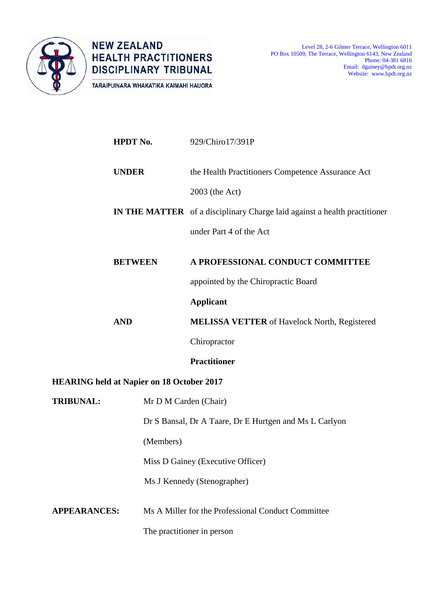

**NEW ZEALAND HEALTH PRACTITIONERS DISCIPLINARY TRIBUNAL** TARAIPUINARA WHAKATIKA KAIMAHI HAUORA

|                                                  | <b>HPDT No.</b>                                                           | 929/Chiro17/391P                                                                 |  |
|--------------------------------------------------|---------------------------------------------------------------------------|----------------------------------------------------------------------------------|--|
|                                                  | <b>UNDER</b>                                                              | the Health Practitioners Competence Assurance Act                                |  |
|                                                  |                                                                           | 2003 (the Act)                                                                   |  |
|                                                  |                                                                           | <b>IN THE MATTER</b> of a disciplinary Charge laid against a health practitioner |  |
|                                                  |                                                                           | under Part 4 of the Act                                                          |  |
|                                                  | <b>BETWEEN</b>                                                            | A PROFESSIONAL CONDUCT COMMITTEE                                                 |  |
|                                                  |                                                                           | appointed by the Chiropractic Board                                              |  |
|                                                  |                                                                           | <b>Applicant</b>                                                                 |  |
|                                                  | <b>AND</b>                                                                | <b>MELISSA VETTER</b> of Havelock North, Registered                              |  |
|                                                  |                                                                           | Chiropractor                                                                     |  |
|                                                  |                                                                           | <b>Practitioner</b>                                                              |  |
| <b>HEARING held at Napier on 18 October 2017</b> |                                                                           |                                                                                  |  |
| <b>TRIBUNAL:</b>                                 | Mr D M Carden (Chair)                                                     |                                                                                  |  |
|                                                  |                                                                           | Dr S Bansal, Dr A Taare, Dr E Hurtgen and Ms L Carlyon                           |  |
|                                                  | (Members)                                                                 |                                                                                  |  |
|                                                  |                                                                           | Miss D Gainey (Executive Officer)<br>Ms J Kennedy (Stenographer)                 |  |
|                                                  |                                                                           |                                                                                  |  |
|                                                  | <b>APPEARANCES:</b><br>Ms A Miller for the Professional Conduct Committee |                                                                                  |  |
|                                                  |                                                                           | The practitioner in person                                                       |  |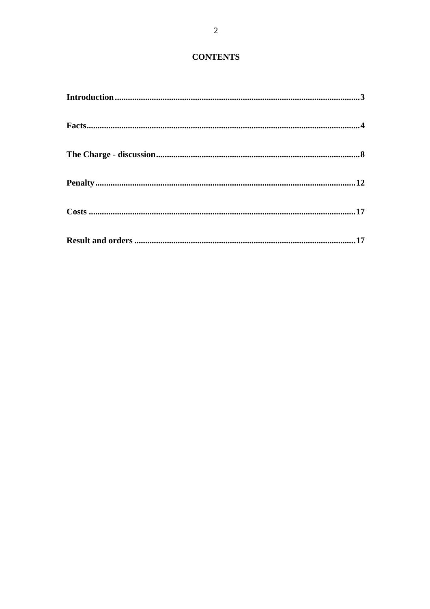# **CONTENTS**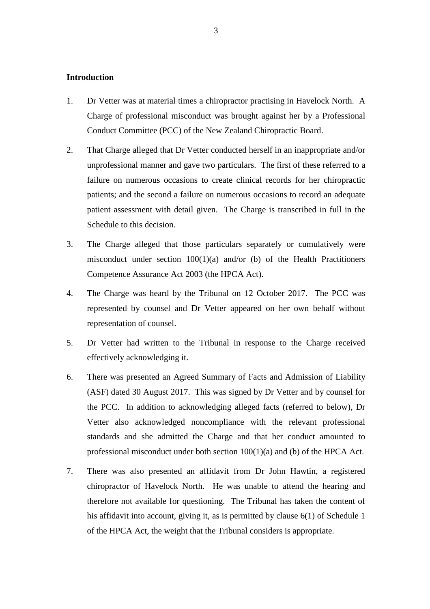### **Introduction**

- 1. Dr Vetter was at material times a chiropractor practising in Havelock North. A Charge of professional misconduct was brought against her by a Professional Conduct Committee (PCC) of the New Zealand Chiropractic Board.
- 2. That Charge alleged that Dr Vetter conducted herself in an inappropriate and/or unprofessional manner and gave two particulars. The first of these referred to a failure on numerous occasions to create clinical records for her chiropractic patients; and the second a failure on numerous occasions to record an adequate patient assessment with detail given. The Charge is transcribed in full in the Schedule to this decision.
- 3. The Charge alleged that those particulars separately or cumulatively were misconduct under section  $100(1)(a)$  and/or (b) of the Health Practitioners Competence Assurance Act 2003 (the HPCA Act).
- 4. The Charge was heard by the Tribunal on 12 October 2017. The PCC was represented by counsel and Dr Vetter appeared on her own behalf without representation of counsel.
- 5. Dr Vetter had written to the Tribunal in response to the Charge received effectively acknowledging it.
- 6. There was presented an Agreed Summary of Facts and Admission of Liability (ASF) dated 30 August 2017. This was signed by Dr Vetter and by counsel for the PCC. In addition to acknowledging alleged facts (referred to below), Dr Vetter also acknowledged noncompliance with the relevant professional standards and she admitted the Charge and that her conduct amounted to professional misconduct under both section 100(1)(a) and (b) of the HPCA Act.
- 7. There was also presented an affidavit from Dr John Hawtin, a registered chiropractor of Havelock North. He was unable to attend the hearing and therefore not available for questioning. The Tribunal has taken the content of his affidavit into account, giving it, as is permitted by clause 6(1) of Schedule 1 of the HPCA Act, the weight that the Tribunal considers is appropriate.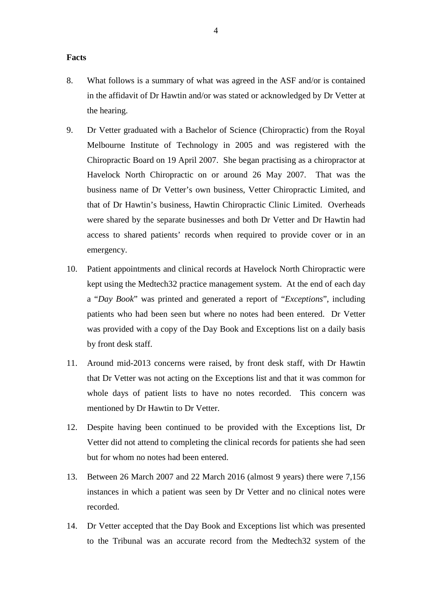#### **Facts**

- 8. What follows is a summary of what was agreed in the ASF and/or is contained in the affidavit of Dr Hawtin and/or was stated or acknowledged by Dr Vetter at the hearing.
- 9. Dr Vetter graduated with a Bachelor of Science (Chiropractic) from the Royal Melbourne Institute of Technology in 2005 and was registered with the Chiropractic Board on 19 April 2007. She began practising as a chiropractor at Havelock North Chiropractic on or around 26 May 2007. That was the business name of Dr Vetter's own business, Vetter Chiropractic Limited, and that of Dr Hawtin's business, Hawtin Chiropractic Clinic Limited. Overheads were shared by the separate businesses and both Dr Vetter and Dr Hawtin had access to shared patients' records when required to provide cover or in an emergency.
- 10. Patient appointments and clinical records at Havelock North Chiropractic were kept using the Medtech32 practice management system. At the end of each day a "*Day Book*" was printed and generated a report of "*Exceptions*", including patients who had been seen but where no notes had been entered. Dr Vetter was provided with a copy of the Day Book and Exceptions list on a daily basis by front desk staff.
- 11. Around mid-2013 concerns were raised, by front desk staff, with Dr Hawtin that Dr Vetter was not acting on the Exceptions list and that it was common for whole days of patient lists to have no notes recorded. This concern was mentioned by Dr Hawtin to Dr Vetter.
- 12. Despite having been continued to be provided with the Exceptions list, Dr Vetter did not attend to completing the clinical records for patients she had seen but for whom no notes had been entered.
- 13. Between 26 March 2007 and 22 March 2016 (almost 9 years) there were 7,156 instances in which a patient was seen by Dr Vetter and no clinical notes were recorded.
- 14. Dr Vetter accepted that the Day Book and Exceptions list which was presented to the Tribunal was an accurate record from the Medtech32 system of the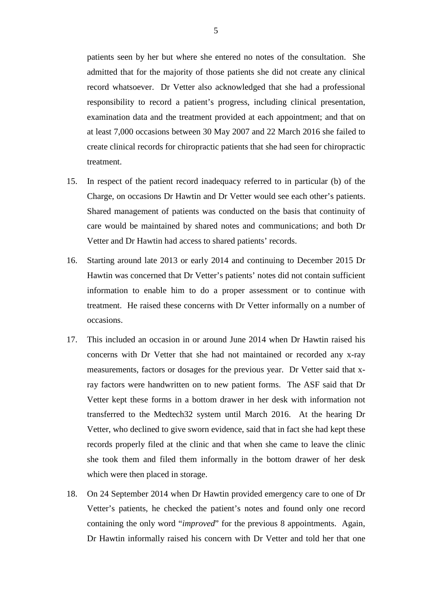patients seen by her but where she entered no notes of the consultation. She admitted that for the majority of those patients she did not create any clinical record whatsoever. Dr Vetter also acknowledged that she had a professional responsibility to record a patient's progress, including clinical presentation, examination data and the treatment provided at each appointment; and that on at least 7,000 occasions between 30 May 2007 and 22 March 2016 she failed to create clinical records for chiropractic patients that she had seen for chiropractic treatment.

- 15. In respect of the patient record inadequacy referred to in particular (b) of the Charge, on occasions Dr Hawtin and Dr Vetter would see each other's patients. Shared management of patients was conducted on the basis that continuity of care would be maintained by shared notes and communications; and both Dr Vetter and Dr Hawtin had access to shared patients' records.
- 16. Starting around late 2013 or early 2014 and continuing to December 2015 Dr Hawtin was concerned that Dr Vetter's patients' notes did not contain sufficient information to enable him to do a proper assessment or to continue with treatment. He raised these concerns with Dr Vetter informally on a number of occasions.
- 17. This included an occasion in or around June 2014 when Dr Hawtin raised his concerns with Dr Vetter that she had not maintained or recorded any x-ray measurements, factors or dosages for the previous year. Dr Vetter said that xray factors were handwritten on to new patient forms. The ASF said that Dr Vetter kept these forms in a bottom drawer in her desk with information not transferred to the Medtech32 system until March 2016. At the hearing Dr Vetter, who declined to give sworn evidence, said that in fact she had kept these records properly filed at the clinic and that when she came to leave the clinic she took them and filed them informally in the bottom drawer of her desk which were then placed in storage.
- 18. On 24 September 2014 when Dr Hawtin provided emergency care to one of Dr Vetter's patients, he checked the patient's notes and found only one record containing the only word "*improved*" for the previous 8 appointments. Again, Dr Hawtin informally raised his concern with Dr Vetter and told her that one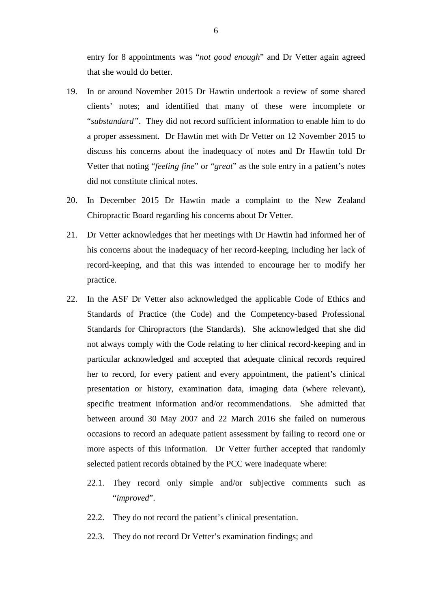entry for 8 appointments was "*not good enough*" and Dr Vetter again agreed that she would do better.

- 19. In or around November 2015 Dr Hawtin undertook a review of some shared clients' notes; and identified that many of these were incomplete or "*substandard"*. They did not record sufficient information to enable him to do a proper assessment. Dr Hawtin met with Dr Vetter on 12 November 2015 to discuss his concerns about the inadequacy of notes and Dr Hawtin told Dr Vetter that noting "*feeling fine*" or "*great*" as the sole entry in a patient's notes did not constitute clinical notes.
- 20. In December 2015 Dr Hawtin made a complaint to the New Zealand Chiropractic Board regarding his concerns about Dr Vetter.
- 21. Dr Vetter acknowledges that her meetings with Dr Hawtin had informed her of his concerns about the inadequacy of her record-keeping, including her lack of record-keeping, and that this was intended to encourage her to modify her practice.
- 22. In the ASF Dr Vetter also acknowledged the applicable Code of Ethics and Standards of Practice (the Code) and the Competency-based Professional Standards for Chiropractors (the Standards). She acknowledged that she did not always comply with the Code relating to her clinical record-keeping and in particular acknowledged and accepted that adequate clinical records required her to record, for every patient and every appointment, the patient's clinical presentation or history, examination data, imaging data (where relevant), specific treatment information and/or recommendations. She admitted that between around 30 May 2007 and 22 March 2016 she failed on numerous occasions to record an adequate patient assessment by failing to record one or more aspects of this information. Dr Vetter further accepted that randomly selected patient records obtained by the PCC were inadequate where:
	- 22.1. They record only simple and/or subjective comments such as "*improved*".
	- 22.2. They do not record the patient's clinical presentation.
	- 22.3. They do not record Dr Vetter's examination findings; and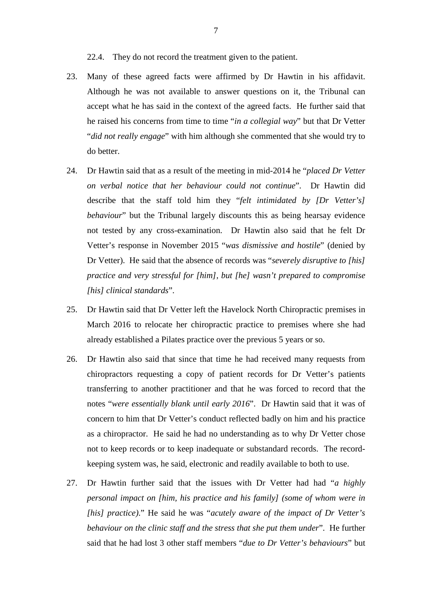22.4. They do not record the treatment given to the patient.

- 23. Many of these agreed facts were affirmed by Dr Hawtin in his affidavit. Although he was not available to answer questions on it, the Tribunal can accept what he has said in the context of the agreed facts. He further said that he raised his concerns from time to time "*in a collegial way*" but that Dr Vetter "*did not really engage*" with him although she commented that she would try to do better.
- 24. Dr Hawtin said that as a result of the meeting in mid-2014 he "*placed Dr Vetter on verbal notice that her behaviour could not continue*". Dr Hawtin did describe that the staff told him they "*felt intimidated by [Dr Vetter's] behaviour*" but the Tribunal largely discounts this as being hearsay evidence not tested by any cross-examination. Dr Hawtin also said that he felt Dr Vetter's response in November 2015 "*was dismissive and hostile*" (denied by Dr Vetter). He said that the absence of records was "*severely disruptive to [his] practice and very stressful for [him], but [he] wasn't prepared to compromise [his] clinical standards*".
- 25. Dr Hawtin said that Dr Vetter left the Havelock North Chiropractic premises in March 2016 to relocate her chiropractic practice to premises where she had already established a Pilates practice over the previous 5 years or so.
- 26. Dr Hawtin also said that since that time he had received many requests from chiropractors requesting a copy of patient records for Dr Vetter's patients transferring to another practitioner and that he was forced to record that the notes "*were essentially blank until early 2016*". Dr Hawtin said that it was of concern to him that Dr Vetter's conduct reflected badly on him and his practice as a chiropractor. He said he had no understanding as to why Dr Vetter chose not to keep records or to keep inadequate or substandard records. The recordkeeping system was, he said, electronic and readily available to both to use.
- 27. Dr Hawtin further said that the issues with Dr Vetter had had "*a highly personal impact on [him, his practice and his family] (some of whom were in [his] practice)*." He said he was "*acutely aware of the impact of Dr Vetter's behaviour on the clinic staff and the stress that she put them under*". He further said that he had lost 3 other staff members "*due to Dr Vetter's behaviours*" but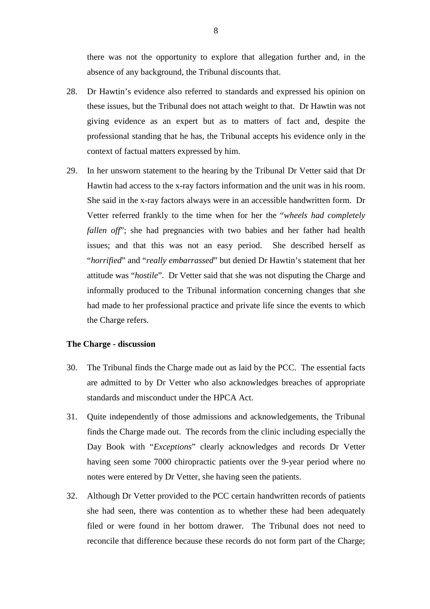there was not the opportunity to explore that allegation further and, in the absence of any background, the Tribunal discounts that.

- 28. Dr Hawtin's evidence also referred to standards and expressed his opinion on these issues, but the Tribunal does not attach weight to that. Dr Hawtin was not giving evidence as an expert but as to matters of fact and, despite the professional standing that he has, the Tribunal accepts his evidence only in the context of factual matters expressed by him.
- 29. In her unsworn statement to the hearing by the Tribunal Dr Vetter said that Dr Hawtin had access to the x-ray factors information and the unit was in his room. She said in the x-ray factors always were in an accessible handwritten form. Dr Vetter referred frankly to the time when for her the "*wheels had completely fallen off*"; she had pregnancies with two babies and her father had health issues; and that this was not an easy period. She described herself as "*horrified*" and "*really embarrassed*" but denied Dr Hawtin's statement that her attitude was "*hostile*". Dr Vetter said that she was not disputing the Charge and informally produced to the Tribunal information concerning changes that she had made to her professional practice and private life since the events to which the Charge refers.

### **The Charge - discussion**

- 30. The Tribunal finds the Charge made out as laid by the PCC. The essential facts are admitted to by Dr Vetter who also acknowledges breaches of appropriate standards and misconduct under the HPCA Act.
- 31. Quite independently of those admissions and acknowledgements, the Tribunal finds the Charge made out. The records from the clinic including especially the Day Book with "*Exceptions*" clearly acknowledges and records Dr Vetter having seen some 7000 chiropractic patients over the 9-year period where no notes were entered by Dr Vetter, she having seen the patients.
- 32. Although Dr Vetter provided to the PCC certain handwritten records of patients she had seen, there was contention as to whether these had been adequately filed or were found in her bottom drawer. The Tribunal does not need to reconcile that difference because these records do not form part of the Charge;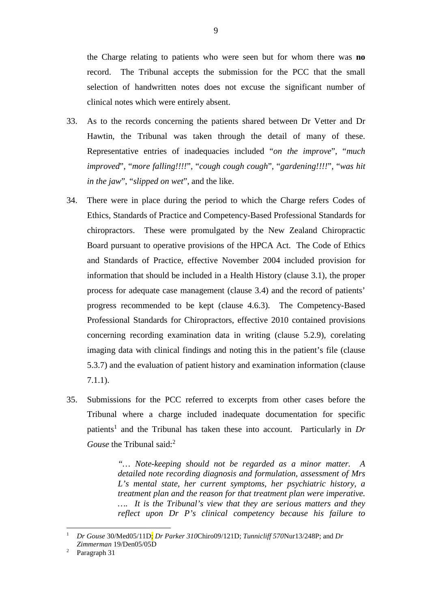the Charge relating to patients who were seen but for whom there was **no** record. The Tribunal accepts the submission for the PCC that the small selection of handwritten notes does not excuse the significant number of clinical notes which were entirely absent.

- 33. As to the records concerning the patients shared between Dr Vetter and Dr Hawtin, the Tribunal was taken through the detail of many of these. Representative entries of inadequacies included "*on the improve*", "*much improved*", "*more falling!!!!*", "*cough cough cough*", "*gardening!!!!*", "*was hit in the jaw*", "*slipped on wet*", and the like.
- 34. There were in place during the period to which the Charge refers Codes of Ethics, Standards of Practice and Competency-Based Professional Standards for chiropractors. These were promulgated by the New Zealand Chiropractic Board pursuant to operative provisions of the HPCA Act. The Code of Ethics and Standards of Practice, effective November 2004 included provision for information that should be included in a Health History (clause 3.1), the proper process for adequate case management (clause 3.4) and the record of patients' progress recommended to be kept (clause 4.6.3). The Competency-Based Professional Standards for Chiropractors, effective 2010 contained provisions concerning recording examination data in writing (clause 5.2.9), corelating imaging data with clinical findings and noting this in the patient's file (clause 5.3.7) and the evaluation of patient history and examination information (clause 7.1.1).
- 35. Submissions for the PCC referred to excerpts from other cases before the Tribunal where a charge included inadequate documentation for specific patients<sup>1</sup> and the Tribunal has taken these into account. Particularly in Dr *Gouse* the Tribunal said:<sup>2</sup>

*"… Note-keeping should not be regarded as a minor matter. A detailed note recording diagnosis and formulation, assessment of Mrs L's mental state, her current symptoms, her psychiatric history, a treatment plan and the reason for that treatment plan were imperative. …. It is the Tribunal's view that they are serious matters and they reflect upon Dr P's clinical competency because his failure to* 

 $\overline{a}$ 

<sup>1</sup> *Dr Gouse* 30/Med05/11D; *Dr Parker 310*Chiro09/121D; *Tunnicliff 570*Nur13/248P; and *Dr Zimmerman* 19/Den05/05D<br><sup>2</sup> Paragraph 31

Paragraph 31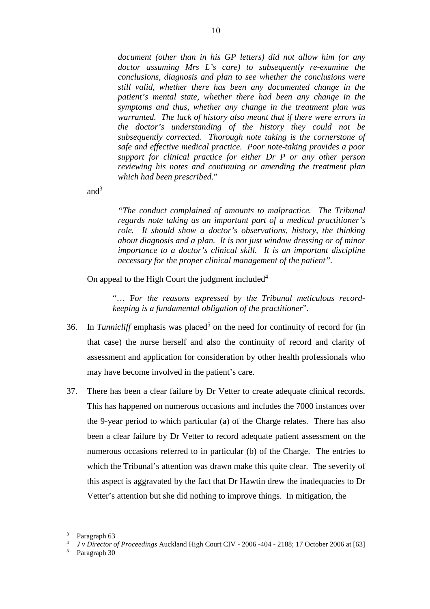*document (other than in his GP letters) did not allow him (or any doctor assuming Mrs L's care) to subsequently re-examine the conclusions, diagnosis and plan to see whether the conclusions were still valid, whether there has been any documented change in the patient's mental state, whether there had been any change in the symptoms and thus, whether any change in the treatment plan was warranted. The lack of history also meant that if there were errors in the doctor's understanding of the history they could not be subsequently corrected. Thorough note taking is the cornerstone of safe and effective medical practice. Poor note-taking provides a poor support for clinical practice for either Dr P or any other person reviewing his notes and continuing or amending the treatment plan which had been prescribed*."

and $3$ 

*"The conduct complained of amounts to malpractice. The Tribunal regards note taking as an important part of a medical practitioner's role. It should show a doctor's observations, history, the thinking about diagnosis and a plan. It is not just window dressing or of minor importance to a doctor's clinical skill. It is an important discipline necessary for the proper clinical management of the patient".* 

On appeal to the High Court the judgment included $4$ 

"… F*or the reasons expressed by the Tribunal meticulous recordkeeping is a fundamental obligation of the practitioner*".

- 36. In *Tunnicliff* emphasis was placed<sup>5</sup> on the need for continuity of record for (in that case) the nurse herself and also the continuity of record and clarity of assessment and application for consideration by other health professionals who may have become involved in the patient's care.
- 37. There has been a clear failure by Dr Vetter to create adequate clinical records. This has happened on numerous occasions and includes the 7000 instances over the 9-year period to which particular (a) of the Charge relates. There has also been a clear failure by Dr Vetter to record adequate patient assessment on the numerous occasions referred to in particular (b) of the Charge. The entries to which the Tribunal's attention was drawn make this quite clear. The severity of this aspect is aggravated by the fact that Dr Hawtin drew the inadequacies to Dr Vetter's attention but she did nothing to improve things. In mitigation, the

 $\overline{a}$ 

<sup>&</sup>lt;sup>3</sup> Paragraph 63<br> *4 J v Director of Proceedings* Auckland High Court CIV - 2006 -404 - 2188; 17 October 2006 at [63]<br>
<sup>5</sup> Paragraph 30

Paragraph 30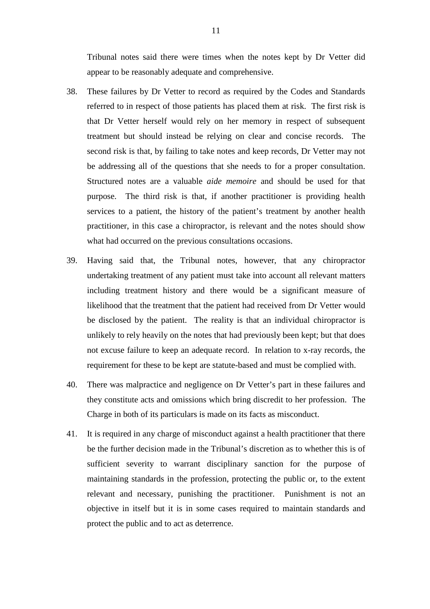Tribunal notes said there were times when the notes kept by Dr Vetter did appear to be reasonably adequate and comprehensive.

- 38. These failures by Dr Vetter to record as required by the Codes and Standards referred to in respect of those patients has placed them at risk. The first risk is that Dr Vetter herself would rely on her memory in respect of subsequent treatment but should instead be relying on clear and concise records. The second risk is that, by failing to take notes and keep records, Dr Vetter may not be addressing all of the questions that she needs to for a proper consultation. Structured notes are a valuable *aide memoire* and should be used for that purpose. The third risk is that, if another practitioner is providing health services to a patient, the history of the patient's treatment by another health practitioner, in this case a chiropractor, is relevant and the notes should show what had occurred on the previous consultations occasions.
- 39. Having said that, the Tribunal notes, however, that any chiropractor undertaking treatment of any patient must take into account all relevant matters including treatment history and there would be a significant measure of likelihood that the treatment that the patient had received from Dr Vetter would be disclosed by the patient. The reality is that an individual chiropractor is unlikely to rely heavily on the notes that had previously been kept; but that does not excuse failure to keep an adequate record. In relation to x-ray records, the requirement for these to be kept are statute-based and must be complied with.
- 40. There was malpractice and negligence on Dr Vetter's part in these failures and they constitute acts and omissions which bring discredit to her profession. The Charge in both of its particulars is made on its facts as misconduct.
- 41. It is required in any charge of misconduct against a health practitioner that there be the further decision made in the Tribunal's discretion as to whether this is of sufficient severity to warrant disciplinary sanction for the purpose of maintaining standards in the profession, protecting the public or, to the extent relevant and necessary, punishing the practitioner. Punishment is not an objective in itself but it is in some cases required to maintain standards and protect the public and to act as deterrence.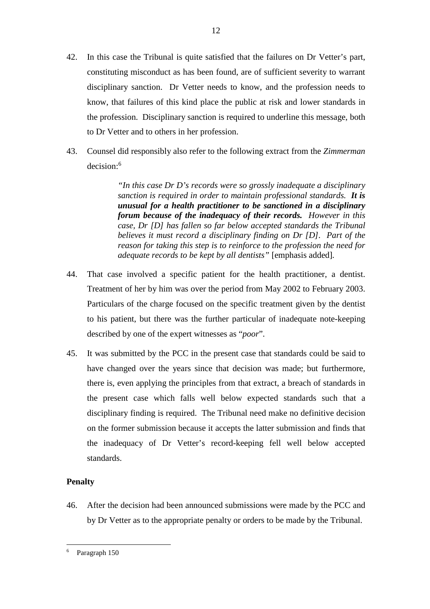42. In this case the Tribunal is quite satisfied that the failures on Dr Vetter's part, constituting misconduct as has been found, are of sufficient severity to warrant disciplinary sanction. Dr Vetter needs to know, and the profession needs to know, that failures of this kind place the public at risk and lower standards in the profession. Disciplinary sanction is required to underline this message, both to Dr Vetter and to others in her profession.

12

43. Counsel did responsibly also refer to the following extract from the *Zimmerman* decision:<sup>6</sup>

> *"In this case Dr D's records were so grossly inadequate a disciplinary sanction is required in order to maintain professional standards. It is unusual for a health practitioner to be sanctioned in a disciplinary forum because of the inadequacy of their records. However in this case, Dr [D] has fallen so far below accepted standards the Tribunal believes it must record a disciplinary finding on Dr [D]. Part of the reason for taking this step is to reinforce to the profession the need for adequate records to be kept by all dentists"* [emphasis added]*.*

- 44. That case involved a specific patient for the health practitioner, a dentist. Treatment of her by him was over the period from May 2002 to February 2003. Particulars of the charge focused on the specific treatment given by the dentist to his patient, but there was the further particular of inadequate note-keeping described by one of the expert witnesses as "*poor*".
- 45. It was submitted by the PCC in the present case that standards could be said to have changed over the years since that decision was made; but furthermore, there is, even applying the principles from that extract, a breach of standards in the present case which falls well below expected standards such that a disciplinary finding is required. The Tribunal need make no definitive decision on the former submission because it accepts the latter submission and finds that the inadequacy of Dr Vetter's record-keeping fell well below accepted standards.

## **Penalty**

 $\overline{a}$ 

46. After the decision had been announced submissions were made by the PCC and by Dr Vetter as to the appropriate penalty or orders to be made by the Tribunal.

<sup>6</sup> Paragraph 150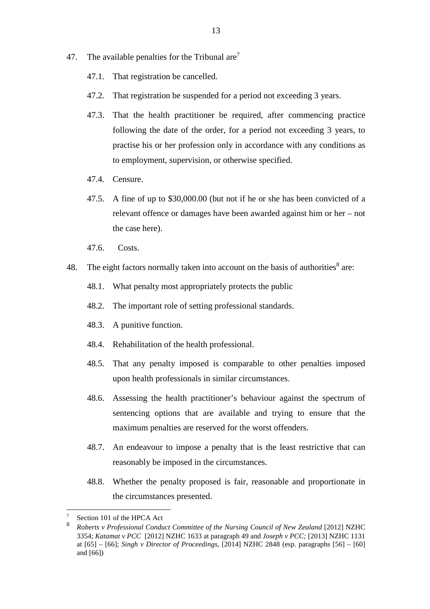- 47. The available penalties for the Tribunal are<sup>7</sup>
	- 47.1. That registration be cancelled.
	- 47.2. That registration be suspended for a period not exceeding 3 years.
	- 47.3. That the health practitioner be required, after commencing practice following the date of the order, for a period not exceeding 3 years, to practise his or her profession only in accordance with any conditions as to employment, supervision, or otherwise specified.
	- 47.4. Censure.
	- 47.5. A fine of up to \$30,000.00 (but not if he or she has been convicted of a relevant offence or damages have been awarded against him or her – not the case here).
	- 47.6. Costs.
- 48. The eight factors normally taken into account on the basis of authorities $8$  are:
	- 48.1. What penalty most appropriately protects the public
	- 48.2. The important role of setting professional standards.
	- 48.3. A punitive function.
	- 48.4. Rehabilitation of the health professional.
	- 48.5. That any penalty imposed is comparable to other penalties imposed upon health professionals in similar circumstances.
	- 48.6. Assessing the health practitioner's behaviour against the spectrum of sentencing options that are available and trying to ensure that the maximum penalties are reserved for the worst offenders.
	- 48.7. An endeavour to impose a penalty that is the least restrictive that can reasonably be imposed in the circumstances.
	- 48.8. Whether the penalty proposed is fair, reasonable and proportionate in the circumstances presented.

 $\overline{a}$ 

<sup>7</sup> Section 101 of the HPCA Act

<sup>8</sup> *Roberts v Professional Conduct Committee of the Nursing Council of New Zealand* [2012] NZHC 3354; *Katamat v PCC* [2012] NZHC 1633 at paragraph 49 and *Joseph v PCC;* [2013] NZHC 1131 at [65] – [66]; *Singh v Director of Proceedings*, [2014] NZHC 2848 (esp. paragraphs [56] – [60] and  $[66]$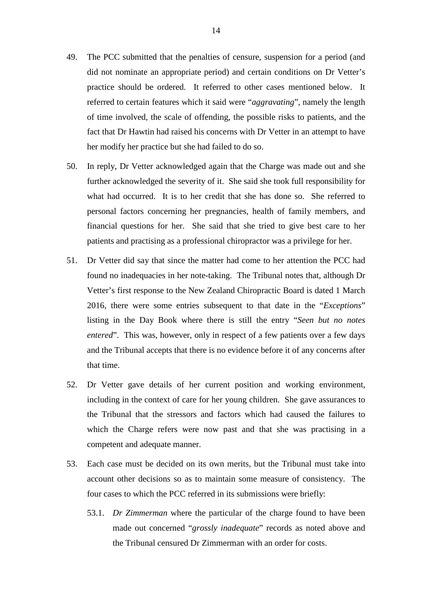- 49. The PCC submitted that the penalties of censure, suspension for a period (and did not nominate an appropriate period) and certain conditions on Dr Vetter's practice should be ordered. It referred to other cases mentioned below. It referred to certain features which it said were "*aggravating*", namely the length of time involved, the scale of offending, the possible risks to patients, and the fact that Dr Hawtin had raised his concerns with Dr Vetter in an attempt to have her modify her practice but she had failed to do so.
- 50. In reply, Dr Vetter acknowledged again that the Charge was made out and she further acknowledged the severity of it. She said she took full responsibility for what had occurred. It is to her credit that she has done so. She referred to personal factors concerning her pregnancies, health of family members, and financial questions for her. She said that she tried to give best care to her patients and practising as a professional chiropractor was a privilege for her.
- 51. Dr Vetter did say that since the matter had come to her attention the PCC had found no inadequacies in her note-taking. The Tribunal notes that, although Dr Vetter's first response to the New Zealand Chiropractic Board is dated 1 March 2016, there were some entries subsequent to that date in the "*Exceptions*" listing in the Day Book where there is still the entry "*Seen but no notes entered*". This was, however, only in respect of a few patients over a few days and the Tribunal accepts that there is no evidence before it of any concerns after that time.
- 52. Dr Vetter gave details of her current position and working environment, including in the context of care for her young children. She gave assurances to the Tribunal that the stressors and factors which had caused the failures to which the Charge refers were now past and that she was practising in a competent and adequate manner.
- 53. Each case must be decided on its own merits, but the Tribunal must take into account other decisions so as to maintain some measure of consistency. The four cases to which the PCC referred in its submissions were briefly:
	- 53.1. *Dr Zimmerman* where the particular of the charge found to have been made out concerned "*grossly inadequate*" records as noted above and the Tribunal censured Dr Zimmerman with an order for costs.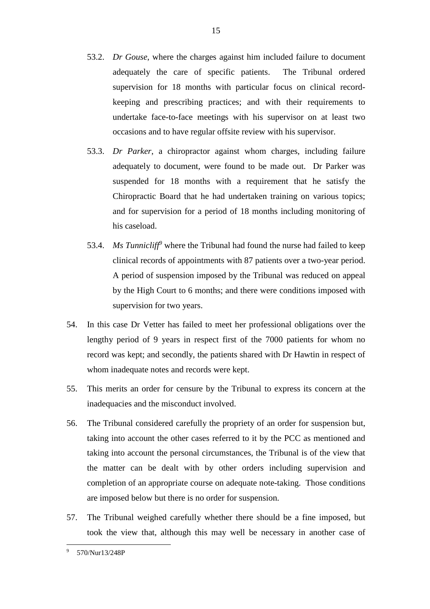- 53.2. *Dr Gouse*, where the charges against him included failure to document adequately the care of specific patients. The Tribunal ordered supervision for 18 months with particular focus on clinical recordkeeping and prescribing practices; and with their requirements to undertake face-to-face meetings with his supervisor on at least two occasions and to have regular offsite review with his supervisor.
- 53.3. *Dr Parker*, a chiropractor against whom charges, including failure adequately to document, were found to be made out. Dr Parker was suspended for 18 months with a requirement that he satisfy the Chiropractic Board that he had undertaken training on various topics; and for supervision for a period of 18 months including monitoring of his caseload.
- 53.4. *Ms Tunnicliff<sup>9</sup>* where the Tribunal had found the nurse had failed to keep clinical records of appointments with 87 patients over a two-year period. A period of suspension imposed by the Tribunal was reduced on appeal by the High Court to 6 months; and there were conditions imposed with supervision for two years.
- 54. In this case Dr Vetter has failed to meet her professional obligations over the lengthy period of 9 years in respect first of the 7000 patients for whom no record was kept; and secondly, the patients shared with Dr Hawtin in respect of whom inadequate notes and records were kept.
- 55. This merits an order for censure by the Tribunal to express its concern at the inadequacies and the misconduct involved.
- 56. The Tribunal considered carefully the propriety of an order for suspension but, taking into account the other cases referred to it by the PCC as mentioned and taking into account the personal circumstances, the Tribunal is of the view that the matter can be dealt with by other orders including supervision and completion of an appropriate course on adequate note-taking. Those conditions are imposed below but there is no order for suspension.
- 57. The Tribunal weighed carefully whether there should be a fine imposed, but took the view that, although this may well be necessary in another case of

<sup>-&</sup>lt;br>9 570/Nur13/248P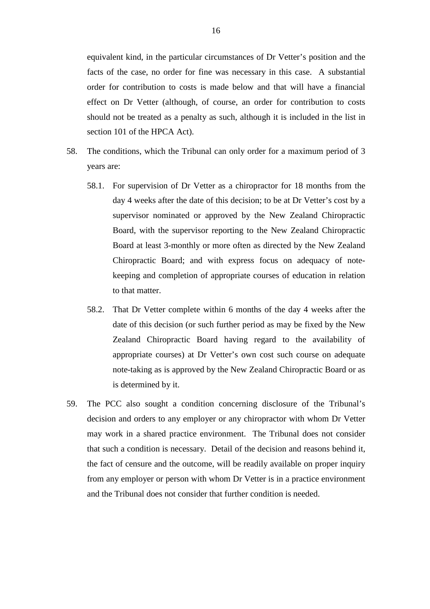equivalent kind, in the particular circumstances of Dr Vetter's position and the facts of the case, no order for fine was necessary in this case. A substantial order for contribution to costs is made below and that will have a financial effect on Dr Vetter (although, of course, an order for contribution to costs should not be treated as a penalty as such, although it is included in the list in section 101 of the HPCA Act).

- 58. The conditions, which the Tribunal can only order for a maximum period of 3 years are:
	- 58.1. For supervision of Dr Vetter as a chiropractor for 18 months from the day 4 weeks after the date of this decision; to be at Dr Vetter's cost by a supervisor nominated or approved by the New Zealand Chiropractic Board, with the supervisor reporting to the New Zealand Chiropractic Board at least 3-monthly or more often as directed by the New Zealand Chiropractic Board; and with express focus on adequacy of notekeeping and completion of appropriate courses of education in relation to that matter.
	- 58.2. That Dr Vetter complete within 6 months of the day 4 weeks after the date of this decision (or such further period as may be fixed by the New Zealand Chiropractic Board having regard to the availability of appropriate courses) at Dr Vetter's own cost such course on adequate note-taking as is approved by the New Zealand Chiropractic Board or as is determined by it.
- 59. The PCC also sought a condition concerning disclosure of the Tribunal's decision and orders to any employer or any chiropractor with whom Dr Vetter may work in a shared practice environment. The Tribunal does not consider that such a condition is necessary. Detail of the decision and reasons behind it, the fact of censure and the outcome, will be readily available on proper inquiry from any employer or person with whom Dr Vetter is in a practice environment and the Tribunal does not consider that further condition is needed.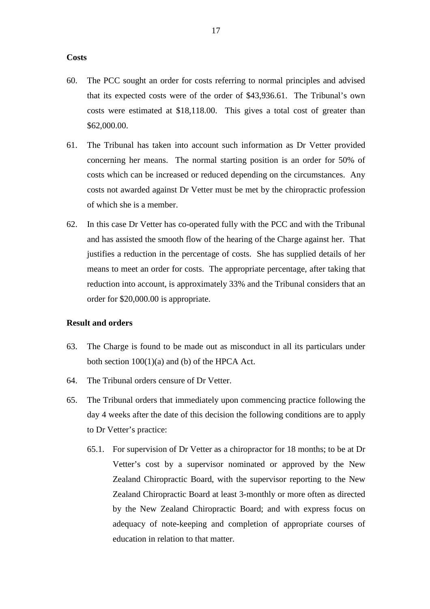#### **Costs**

- 60. The PCC sought an order for costs referring to normal principles and advised that its expected costs were of the order of \$43,936.61. The Tribunal's own costs were estimated at \$18,118.00. This gives a total cost of greater than \$62,000.00.
- 61. The Tribunal has taken into account such information as Dr Vetter provided concerning her means. The normal starting position is an order for 50% of costs which can be increased or reduced depending on the circumstances. Any costs not awarded against Dr Vetter must be met by the chiropractic profession of which she is a member.
- 62. In this case Dr Vetter has co-operated fully with the PCC and with the Tribunal and has assisted the smooth flow of the hearing of the Charge against her. That justifies a reduction in the percentage of costs. She has supplied details of her means to meet an order for costs. The appropriate percentage, after taking that reduction into account, is approximately 33% and the Tribunal considers that an order for \$20,000.00 is appropriate.

#### **Result and orders**

- 63. The Charge is found to be made out as misconduct in all its particulars under both section 100(1)(a) and (b) of the HPCA Act.
- 64. The Tribunal orders censure of Dr Vetter.
- 65. The Tribunal orders that immediately upon commencing practice following the day 4 weeks after the date of this decision the following conditions are to apply to Dr Vetter's practice:
	- 65.1. For supervision of Dr Vetter as a chiropractor for 18 months; to be at Dr Vetter's cost by a supervisor nominated or approved by the New Zealand Chiropractic Board, with the supervisor reporting to the New Zealand Chiropractic Board at least 3-monthly or more often as directed by the New Zealand Chiropractic Board; and with express focus on adequacy of note-keeping and completion of appropriate courses of education in relation to that matter.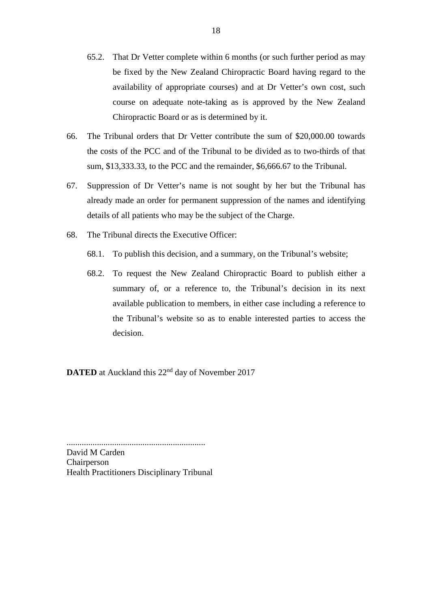- 65.2. That Dr Vetter complete within 6 months (or such further period as may be fixed by the New Zealand Chiropractic Board having regard to the availability of appropriate courses) and at Dr Vetter's own cost, such course on adequate note-taking as is approved by the New Zealand Chiropractic Board or as is determined by it.
- 66. The Tribunal orders that Dr Vetter contribute the sum of \$20,000.00 towards the costs of the PCC and of the Tribunal to be divided as to two-thirds of that sum, \$13,333.33, to the PCC and the remainder, \$6,666.67 to the Tribunal.
- 67. Suppression of Dr Vetter's name is not sought by her but the Tribunal has already made an order for permanent suppression of the names and identifying details of all patients who may be the subject of the Charge.
- 68. The Tribunal directs the Executive Officer:
	- 68.1. To publish this decision, and a summary, on the Tribunal's website;
	- 68.2. To request the New Zealand Chiropractic Board to publish either a summary of, or a reference to, the Tribunal's decision in its next available publication to members, in either case including a reference to the Tribunal's website so as to enable interested parties to access the decision.

**DATED** at Auckland this 22<sup>nd</sup> day of November 2017

................................................................ David M Carden Chairperson Health Practitioners Disciplinary Tribunal